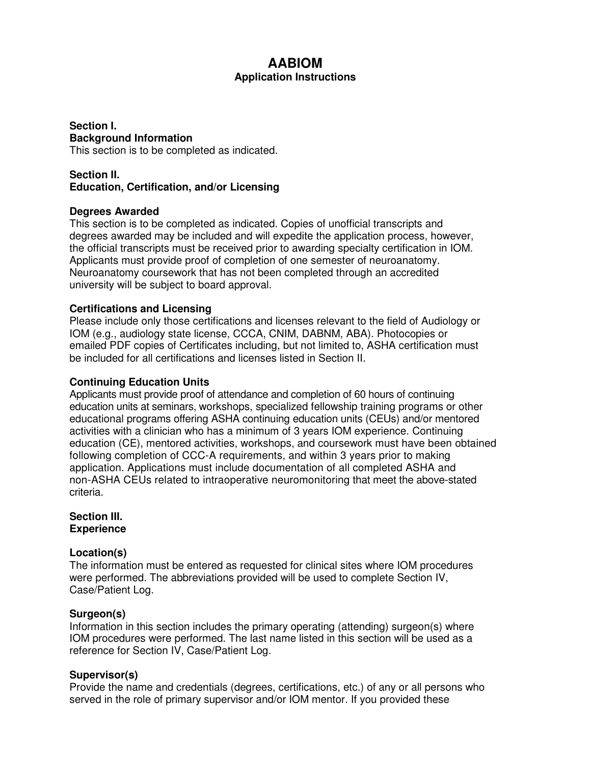# **AABIOM**

# **Application Instructions**

**Section I. Background Information**  This section is to be completed as indicated.

# **Section II. Education, Certification, and/or Licensing**

### **Degrees Awarded**

This section is to be completed as indicated. Copies of unofficial transcripts and degrees awarded may be included and will expedite the application process, however, the official transcripts must be received prior to awarding specialty certification in IOM. Applicants must provide proof of completion of one semester of neuroanatomy. Neuroanatomy coursework that has not been completed through an accredited university will be subject to board approval.

# **Certifications and Licensing**

Please include only those certifications and licenses relevant to the field of Audiology or IOM (e.g., audiology state license, CCCA, CNIM, DABNM, ABA). Photocopies or emailed PDF copies of Certificates including, but not limited to, ASHA certification must be included for all certifications and licenses listed in Section II.

### **Continuing Education Units**

Applicants must provide proof of attendance and completion of 60 hours of continuing education units at seminars, workshops, specialized fellowship training programs or other educational programs offering ASHA continuing education units (CEUs) and/or mentored activities with a clinician who has a minimum of 3 years IOM experience. Continuing education (CE), mentored activities, workshops, and coursework must have been obtained following completion of CCC-A requirements, and within 3 years prior to making application. Applications must include documentation of all completed ASHA and non-ASHA CEUs related to intraoperative neuromonitoring that meet the above-stated criteria.

#### **Section III. Experience**

# **Location(s)**

The information must be entered as requested for clinical sites where IOM procedures were performed. The abbreviations provided will be used to complete Section IV, Case/Patient Log.

### **Surgeon(s)**

Information in this section includes the primary operating (attending) surgeon(s) where IOM procedures were performed. The last name listed in this section will be used as a reference for Section IV, Case/Patient Log.

### **Supervisor(s)**

Provide the name and credentials (degrees, certifications, etc.) of any or all persons who served in the role of primary supervisor and/or IOM mentor. If you provided these